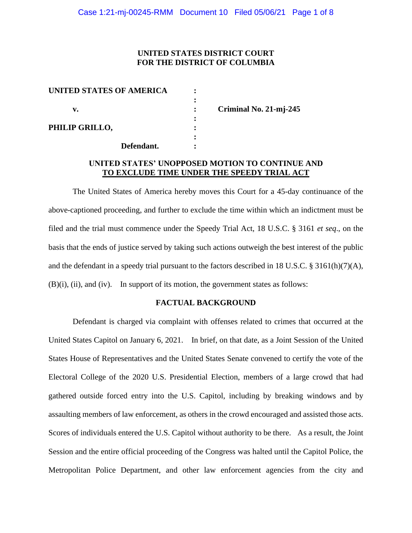# **UNITED STATES DISTRICT COURT FOR THE DISTRICT OF COLUMBIA**

| UNITED STATES OF AMERICA |            |  |
|--------------------------|------------|--|
|                          |            |  |
| v.                       |            |  |
|                          |            |  |
| PHILIP GRILLO,           |            |  |
|                          |            |  |
|                          | Defendant. |  |

**v. : Criminal No. 21-mj-245**

# **UNITED STATES' UNOPPOSED MOTION TO CONTINUE AND TO EXCLUDE TIME UNDER THE SPEEDY TRIAL ACT**

The United States of America hereby moves this Court for a 45-day continuance of the above-captioned proceeding, and further to exclude the time within which an indictment must be filed and the trial must commence under the Speedy Trial Act, 18 U.S.C. § 3161 *et seq*., on the basis that the ends of justice served by taking such actions outweigh the best interest of the public and the defendant in a speedy trial pursuant to the factors described in 18 U.S.C. § 3161(h)(7)(A), (B)(i), (ii), and (iv). In support of its motion, the government states as follows:

### **FACTUAL BACKGROUND**

Defendant is charged via complaint with offenses related to crimes that occurred at the United States Capitol on January 6, 2021. In brief, on that date, as a Joint Session of the United States House of Representatives and the United States Senate convened to certify the vote of the Electoral College of the 2020 U.S. Presidential Election, members of a large crowd that had gathered outside forced entry into the U.S. Capitol, including by breaking windows and by assaulting members of law enforcement, as others in the crowd encouraged and assisted those acts. Scores of individuals entered the U.S. Capitol without authority to be there. As a result, the Joint Session and the entire official proceeding of the Congress was halted until the Capitol Police, the Metropolitan Police Department, and other law enforcement agencies from the city and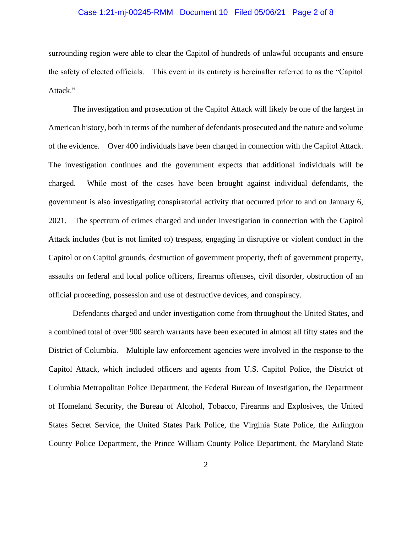### Case 1:21-mj-00245-RMM Document 10 Filed 05/06/21 Page 2 of 8

surrounding region were able to clear the Capitol of hundreds of unlawful occupants and ensure the safety of elected officials. This event in its entirety is hereinafter referred to as the "Capitol Attack."

The investigation and prosecution of the Capitol Attack will likely be one of the largest in American history, both in terms of the number of defendants prosecuted and the nature and volume of the evidence. Over 400 individuals have been charged in connection with the Capitol Attack. The investigation continues and the government expects that additional individuals will be charged. While most of the cases have been brought against individual defendants, the government is also investigating conspiratorial activity that occurred prior to and on January 6, 2021. The spectrum of crimes charged and under investigation in connection with the Capitol Attack includes (but is not limited to) trespass, engaging in disruptive or violent conduct in the Capitol or on Capitol grounds, destruction of government property, theft of government property, assaults on federal and local police officers, firearms offenses, civil disorder, obstruction of an official proceeding, possession and use of destructive devices, and conspiracy.

Defendants charged and under investigation come from throughout the United States, and a combined total of over 900 search warrants have been executed in almost all fifty states and the District of Columbia. Multiple law enforcement agencies were involved in the response to the Capitol Attack, which included officers and agents from U.S. Capitol Police, the District of Columbia Metropolitan Police Department, the Federal Bureau of Investigation, the Department of Homeland Security, the Bureau of Alcohol, Tobacco, Firearms and Explosives, the United States Secret Service, the United States Park Police, the Virginia State Police, the Arlington County Police Department, the Prince William County Police Department, the Maryland State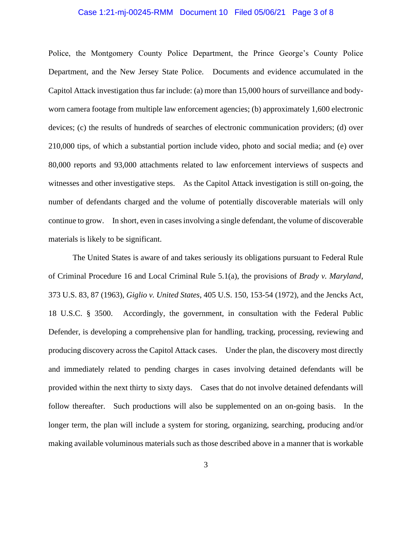### Case 1:21-mj-00245-RMM Document 10 Filed 05/06/21 Page 3 of 8

Police, the Montgomery County Police Department, the Prince George's County Police Department, and the New Jersey State Police. Documents and evidence accumulated in the Capitol Attack investigation thus far include: (a) more than 15,000 hours of surveillance and bodyworn camera footage from multiple law enforcement agencies; (b) approximately 1,600 electronic devices; (c) the results of hundreds of searches of electronic communication providers; (d) over 210,000 tips, of which a substantial portion include video, photo and social media; and (e) over 80,000 reports and 93,000 attachments related to law enforcement interviews of suspects and witnesses and other investigative steps. As the Capitol Attack investigation is still on-going, the number of defendants charged and the volume of potentially discoverable materials will only continue to grow. In short, even in cases involving a single defendant, the volume of discoverable materials is likely to be significant.

The United States is aware of and takes seriously its obligations pursuant to Federal Rule of Criminal Procedure 16 and Local Criminal Rule 5.1(a), the provisions of *Brady v. Maryland*, 373 U.S. 83, 87 (1963), *Giglio v. United States*, 405 U.S. 150, 153-54 (1972), and the Jencks Act, 18 U.S.C. § 3500. Accordingly, the government, in consultation with the Federal Public Defender, is developing a comprehensive plan for handling, tracking, processing, reviewing and producing discovery across the Capitol Attack cases. Under the plan, the discovery most directly and immediately related to pending charges in cases involving detained defendants will be provided within the next thirty to sixty days. Cases that do not involve detained defendants will follow thereafter. Such productions will also be supplemented on an on-going basis. In the longer term, the plan will include a system for storing, organizing, searching, producing and/or making available voluminous materials such as those described above in a manner that is workable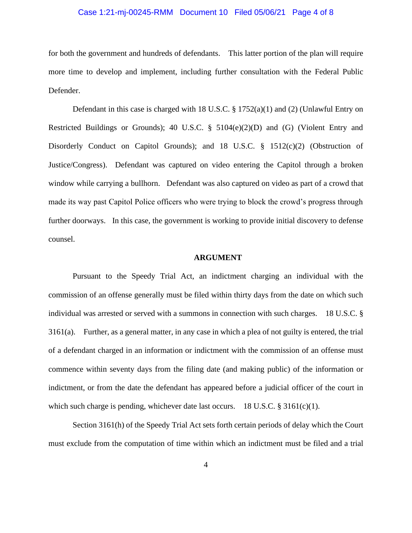### Case 1:21-mj-00245-RMM Document 10 Filed 05/06/21 Page 4 of 8

for both the government and hundreds of defendants. This latter portion of the plan will require more time to develop and implement, including further consultation with the Federal Public Defender.

Defendant in this case is charged with 18 U.S.C. § 1752(a)(1) and (2) (Unlawful Entry on Restricted Buildings or Grounds); 40 U.S.C. § 5104(e)(2)(D) and (G) (Violent Entry and Disorderly Conduct on Capitol Grounds); and 18 U.S.C. § 1512(c)(2) (Obstruction of Justice/Congress). Defendant was captured on video entering the Capitol through a broken window while carrying a bullhorn. Defendant was also captured on video as part of a crowd that made its way past Capitol Police officers who were trying to block the crowd's progress through further doorways. In this case, the government is working to provide initial discovery to defense counsel.

#### **ARGUMENT**

Pursuant to the Speedy Trial Act, an indictment charging an individual with the commission of an offense generally must be filed within thirty days from the date on which such individual was arrested or served with a summons in connection with such charges. 18 U.S.C. § 3161(a). Further, as a general matter, in any case in which a plea of not guilty is entered, the trial of a defendant charged in an information or indictment with the commission of an offense must commence within seventy days from the filing date (and making public) of the information or indictment, or from the date the defendant has appeared before a judicial officer of the court in which such charge is pending, whichever date last occurs. 18 U.S.C.  $\S 3161(c)(1)$ .

Section 3161(h) of the Speedy Trial Act sets forth certain periods of delay which the Court must exclude from the computation of time within which an indictment must be filed and a trial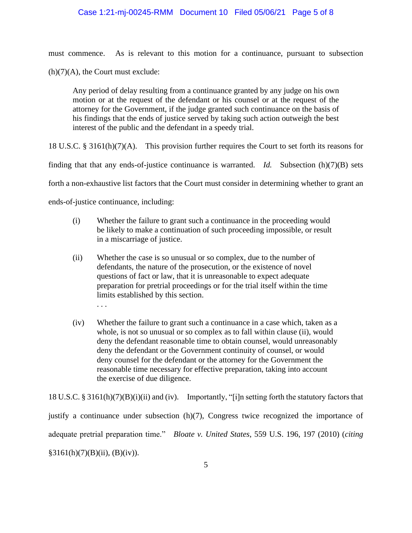### Case 1:21-mj-00245-RMM Document 10 Filed 05/06/21 Page 5 of 8

must commence. As is relevant to this motion for a continuance, pursuant to subsection  $(h)(7)(A)$ , the Court must exclude:

Any period of delay resulting from a continuance granted by any judge on his own motion or at the request of the defendant or his counsel or at the request of the attorney for the Government, if the judge granted such continuance on the basis of his findings that the ends of justice served by taking such action outweigh the best interest of the public and the defendant in a speedy trial.

18 U.S.C. § 3161(h)(7)(A). This provision further requires the Court to set forth its reasons for

finding that that any ends-of-justice continuance is warranted. *Id.* Subsection (h)(7)(B) sets

forth a non-exhaustive list factors that the Court must consider in determining whether to grant an

ends-of-justice continuance, including:

- (i) Whether the failure to grant such a continuance in the proceeding would be likely to make a continuation of such proceeding impossible, or result in a miscarriage of justice.
- (ii) Whether the case is so unusual or so complex, due to the number of defendants, the nature of the prosecution, or the existence of novel questions of fact or law, that it is unreasonable to expect adequate preparation for pretrial proceedings or for the trial itself within the time limits established by this section. . . .
- (iv) Whether the failure to grant such a continuance in a case which, taken as a whole, is not so unusual or so complex as to fall within clause (ii), would deny the defendant reasonable time to obtain counsel, would unreasonably deny the defendant or the Government continuity of counsel, or would deny counsel for the defendant or the attorney for the Government the reasonable time necessary for effective preparation, taking into account the exercise of due diligence.

18 U.S.C. § 3161(h)(7)(B)(i)(ii) and (iv). Importantly, "[i]n setting forth the statutory factors that justify a continuance under subsection (h)(7), Congress twice recognized the importance of adequate pretrial preparation time." *Bloate v. United States*, 559 U.S. 196, 197 (2010) (*citing*  $§3161(h)(7)(B)(ii), (B)(iv)).$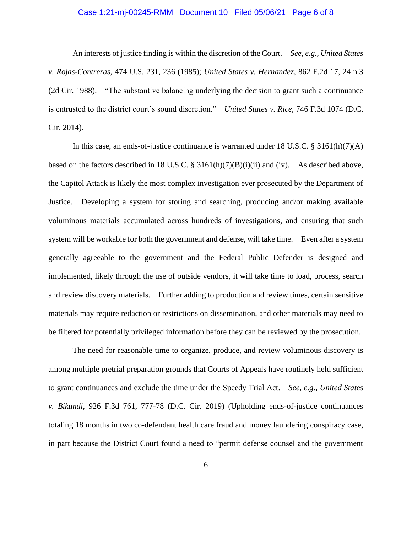### Case 1:21-mj-00245-RMM Document 10 Filed 05/06/21 Page 6 of 8

An interests of justice finding is within the discretion of the Court. *See, e.g., United States v. Rojas-Contreras*, 474 U.S. 231, 236 (1985); *United States v. Hernandez*, 862 F.2d 17, 24 n.3 (2d Cir. 1988). "The substantive balancing underlying the decision to grant such a continuance is entrusted to the district court's sound discretion." *United States v. Rice*, 746 F.3d 1074 (D.C. Cir. 2014).

In this case, an ends-of-justice continuance is warranted under 18 U.S.C. § 3161(h)(7)(A) based on the factors described in 18 U.S.C. § 3161(h)(7)(B)(i)(ii) and (iv). As described above, the Capitol Attack is likely the most complex investigation ever prosecuted by the Department of Justice. Developing a system for storing and searching, producing and/or making available voluminous materials accumulated across hundreds of investigations, and ensuring that such system will be workable for both the government and defense, will take time. Even after a system generally agreeable to the government and the Federal Public Defender is designed and implemented, likely through the use of outside vendors, it will take time to load, process, search and review discovery materials. Further adding to production and review times, certain sensitive materials may require redaction or restrictions on dissemination, and other materials may need to be filtered for potentially privileged information before they can be reviewed by the prosecution.

The need for reasonable time to organize, produce, and review voluminous discovery is among multiple pretrial preparation grounds that Courts of Appeals have routinely held sufficient to grant continuances and exclude the time under the Speedy Trial Act. *See, e.g., United States v. Bikundi*, 926 F.3d 761, 777-78 (D.C. Cir. 2019) (Upholding ends-of-justice continuances totaling 18 months in two co-defendant health care fraud and money laundering conspiracy case, in part because the District Court found a need to "permit defense counsel and the government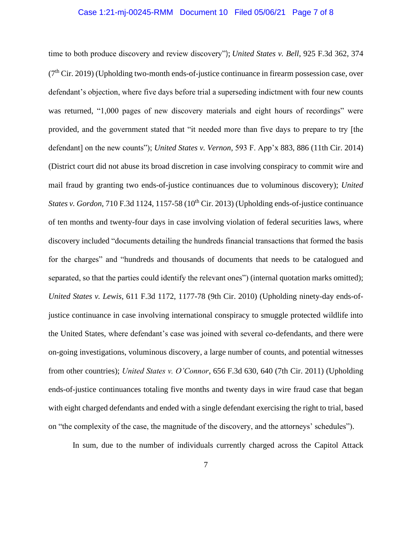#### Case 1:21-mj-00245-RMM Document 10 Filed 05/06/21 Page 7 of 8

time to both produce discovery and review discovery"); *United States v. Bell*, 925 F.3d 362, 374  $(7<sup>th</sup> Cir. 2019)$  (Upholding two-month ends-of-justice continuance in firearm possession case, over defendant's objection, where five days before trial a superseding indictment with four new counts was returned, "1,000 pages of new discovery materials and eight hours of recordings" were provided, and the government stated that "it needed more than five days to prepare to try [the defendant] on the new counts"); *United States v. Vernon*, 593 F. App'x 883, 886 (11th Cir. 2014) (District court did not abuse its broad discretion in case involving conspiracy to commit wire and mail fraud by granting two ends-of-justice continuances due to voluminous discovery); *United States v. Gordon,* 710 F.3d 1124, 1157-58 (10<sup>th</sup> Cir. 2013) (Upholding ends-of-justice continuance of ten months and twenty-four days in case involving violation of federal securities laws, where discovery included "documents detailing the hundreds financial transactions that formed the basis for the charges" and "hundreds and thousands of documents that needs to be catalogued and separated, so that the parties could identify the relevant ones") (internal quotation marks omitted); *United States v. Lewis*, 611 F.3d 1172, 1177-78 (9th Cir. 2010) (Upholding ninety-day ends-ofjustice continuance in case involving international conspiracy to smuggle protected wildlife into the United States, where defendant's case was joined with several co-defendants, and there were on-going investigations, voluminous discovery, a large number of counts, and potential witnesses from other countries); *United States v. O'Connor*, 656 F.3d 630, 640 (7th Cir. 2011) (Upholding ends-of-justice continuances totaling five months and twenty days in wire fraud case that began with eight charged defendants and ended with a single defendant exercising the right to trial, based on "the complexity of the case, the magnitude of the discovery, and the attorneys' schedules").

In sum, due to the number of individuals currently charged across the Capitol Attack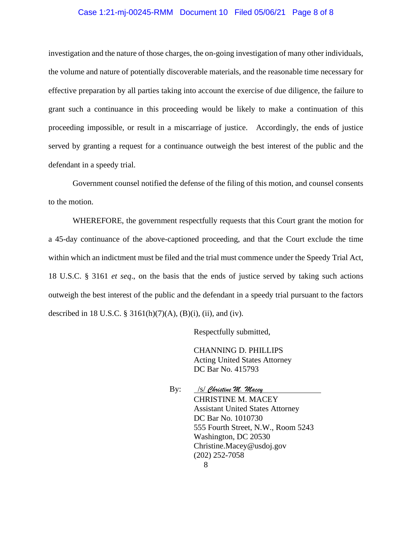### Case 1:21-mj-00245-RMM Document 10 Filed 05/06/21 Page 8 of 8

investigation and the nature of those charges, the on-going investigation of many other individuals, the volume and nature of potentially discoverable materials, and the reasonable time necessary for effective preparation by all parties taking into account the exercise of due diligence, the failure to grant such a continuance in this proceeding would be likely to make a continuation of this proceeding impossible, or result in a miscarriage of justice. Accordingly, the ends of justice served by granting a request for a continuance outweigh the best interest of the public and the defendant in a speedy trial.

Government counsel notified the defense of the filing of this motion, and counsel consents to the motion.

WHEREFORE, the government respectfully requests that this Court grant the motion for a 45-day continuance of the above-captioned proceeding, and that the Court exclude the time within which an indictment must be filed and the trial must commence under the Speedy Trial Act, 18 U.S.C. § 3161 *et seq*., on the basis that the ends of justice served by taking such actions outweigh the best interest of the public and the defendant in a speedy trial pursuant to the factors described in 18 U.S.C. § 3161(h)(7)(A), (B)(i), (ii), and (iv).

Respectfully submitted,

CHANNING D. PHILLIPS Acting United States Attorney DC Bar No. 415793

By: /s/ *Christine M. Macey* CHRISTINE M. MACEY Assistant United States Attorney DC Bar No. 1010730 555 Fourth Street, N.W., Room 5243 Washington, DC 20530 Christine.Macey@usdoj.gov (202) 252-7058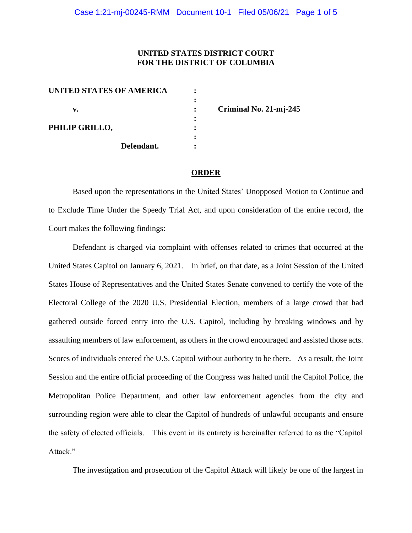# **UNITED STATES DISTRICT COURT FOR THE DISTRICT OF COLUMBIA**

| <b>UNITED STATES OF AMERICA</b> |            |  |
|---------------------------------|------------|--|
|                                 |            |  |
| v.                              |            |  |
|                                 |            |  |
| PHILIP GRILLO,                  |            |  |
|                                 |            |  |
|                                 | Defendant. |  |
|                                 |            |  |

**v. : Criminal No. 21-mj-245**

#### **ORDER**

Based upon the representations in the United States' Unopposed Motion to Continue and to Exclude Time Under the Speedy Trial Act, and upon consideration of the entire record, the Court makes the following findings:

Defendant is charged via complaint with offenses related to crimes that occurred at the United States Capitol on January 6, 2021. In brief, on that date, as a Joint Session of the United States House of Representatives and the United States Senate convened to certify the vote of the Electoral College of the 2020 U.S. Presidential Election, members of a large crowd that had gathered outside forced entry into the U.S. Capitol, including by breaking windows and by assaulting members of law enforcement, as others in the crowd encouraged and assisted those acts. Scores of individuals entered the U.S. Capitol without authority to be there. As a result, the Joint Session and the entire official proceeding of the Congress was halted until the Capitol Police, the Metropolitan Police Department, and other law enforcement agencies from the city and surrounding region were able to clear the Capitol of hundreds of unlawful occupants and ensure the safety of elected officials. This event in its entirety is hereinafter referred to as the "Capitol Attack."

The investigation and prosecution of the Capitol Attack will likely be one of the largest in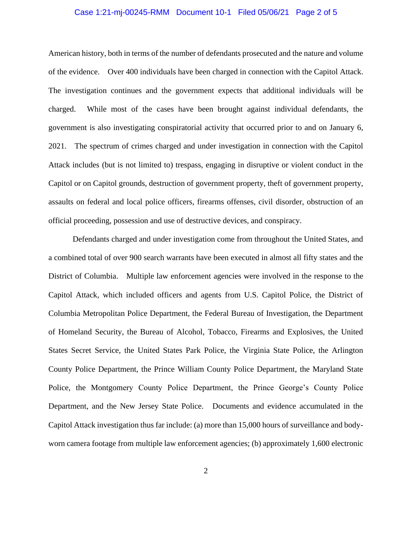#### Case 1:21-mj-00245-RMM Document 10-1 Filed 05/06/21 Page 2 of 5

American history, both in terms of the number of defendants prosecuted and the nature and volume of the evidence. Over 400 individuals have been charged in connection with the Capitol Attack. The investigation continues and the government expects that additional individuals will be charged. While most of the cases have been brought against individual defendants, the government is also investigating conspiratorial activity that occurred prior to and on January 6, 2021. The spectrum of crimes charged and under investigation in connection with the Capitol Attack includes (but is not limited to) trespass, engaging in disruptive or violent conduct in the Capitol or on Capitol grounds, destruction of government property, theft of government property, assaults on federal and local police officers, firearms offenses, civil disorder, obstruction of an official proceeding, possession and use of destructive devices, and conspiracy.

Defendants charged and under investigation come from throughout the United States, and a combined total of over 900 search warrants have been executed in almost all fifty states and the District of Columbia. Multiple law enforcement agencies were involved in the response to the Capitol Attack, which included officers and agents from U.S. Capitol Police, the District of Columbia Metropolitan Police Department, the Federal Bureau of Investigation, the Department of Homeland Security, the Bureau of Alcohol, Tobacco, Firearms and Explosives, the United States Secret Service, the United States Park Police, the Virginia State Police, the Arlington County Police Department, the Prince William County Police Department, the Maryland State Police, the Montgomery County Police Department, the Prince George's County Police Department, and the New Jersey State Police. Documents and evidence accumulated in the Capitol Attack investigation thus far include: (a) more than 15,000 hours of surveillance and bodyworn camera footage from multiple law enforcement agencies; (b) approximately 1,600 electronic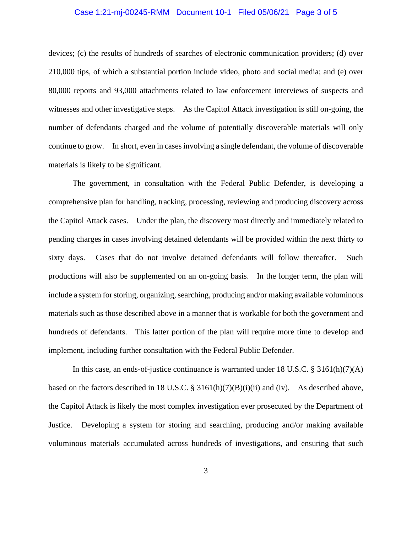#### Case 1:21-mj-00245-RMM Document 10-1 Filed 05/06/21 Page 3 of 5

devices; (c) the results of hundreds of searches of electronic communication providers; (d) over 210,000 tips, of which a substantial portion include video, photo and social media; and (e) over 80,000 reports and 93,000 attachments related to law enforcement interviews of suspects and witnesses and other investigative steps. As the Capitol Attack investigation is still on-going, the number of defendants charged and the volume of potentially discoverable materials will only continue to grow. In short, even in cases involving a single defendant, the volume of discoverable materials is likely to be significant.

The government, in consultation with the Federal Public Defender, is developing a comprehensive plan for handling, tracking, processing, reviewing and producing discovery across the Capitol Attack cases. Under the plan, the discovery most directly and immediately related to pending charges in cases involving detained defendants will be provided within the next thirty to sixty days. Cases that do not involve detained defendants will follow thereafter. Such productions will also be supplemented on an on-going basis. In the longer term, the plan will include a system for storing, organizing, searching, producing and/or making available voluminous materials such as those described above in a manner that is workable for both the government and hundreds of defendants. This latter portion of the plan will require more time to develop and implement, including further consultation with the Federal Public Defender.

In this case, an ends-of-justice continuance is warranted under 18 U.S.C. § 3161(h)(7)(A) based on the factors described in 18 U.S.C. § 3161(h)(7)(B)(i)(ii) and (iv). As described above, the Capitol Attack is likely the most complex investigation ever prosecuted by the Department of Justice. Developing a system for storing and searching, producing and/or making available voluminous materials accumulated across hundreds of investigations, and ensuring that such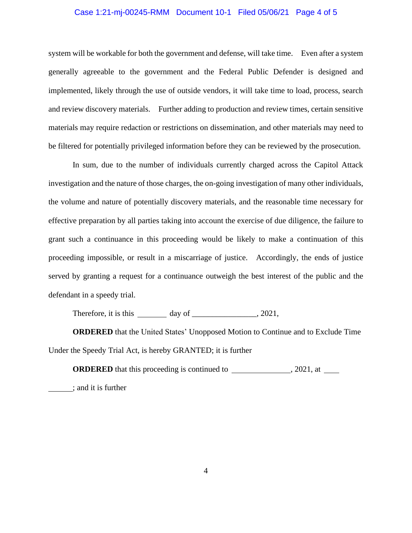#### Case 1:21-mj-00245-RMM Document 10-1 Filed 05/06/21 Page 4 of 5

system will be workable for both the government and defense, will take time. Even after a system generally agreeable to the government and the Federal Public Defender is designed and implemented, likely through the use of outside vendors, it will take time to load, process, search and review discovery materials. Further adding to production and review times, certain sensitive materials may require redaction or restrictions on dissemination, and other materials may need to be filtered for potentially privileged information before they can be reviewed by the prosecution.

In sum, due to the number of individuals currently charged across the Capitol Attack investigation and the nature of those charges, the on-going investigation of many other individuals, the volume and nature of potentially discovery materials, and the reasonable time necessary for effective preparation by all parties taking into account the exercise of due diligence, the failure to grant such a continuance in this proceeding would be likely to make a continuation of this proceeding impossible, or result in a miscarriage of justice. Accordingly, the ends of justice served by granting a request for a continuance outweigh the best interest of the public and the defendant in a speedy trial.

Therefore, it is this  $\_\_\_\_\$  day of  $\_\_\_\_\_\_$ , 2021,

**ORDERED** that the United States' Unopposed Motion to Continue and to Exclude Time Under the Speedy Trial Act, is hereby GRANTED; it is further

**ORDERED** that this proceeding is continued to , 2021, at ; and it is further